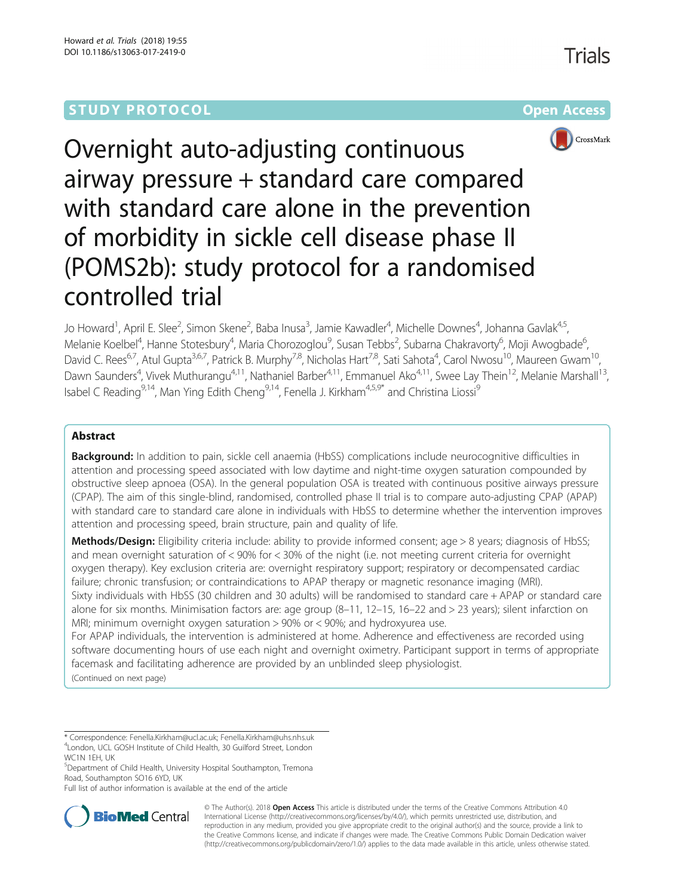# **STUDY PROTOCOL CONSUMING THE RESERVE ACCESS**



Overnight auto-adjusting continuous airway pressure + standard care compared with standard care alone in the prevention of morbidity in sickle cell disease phase II (POMS2b): study protocol for a randomised controlled trial

Jo Howard<sup>1</sup>, April E. Slee<sup>2</sup>, Simon Skene<sup>2</sup>, Baba Inusa<sup>3</sup>, Jamie Kawadler<sup>4</sup>, Michelle Downes<sup>4</sup>, Johanna Gavlak<sup>4,5</sup>, Melanie Koelbel<sup>4</sup>, Hanne Stotesbury<sup>4</sup>, Maria Chorozoglou<sup>9</sup>, Susan Tebbs<sup>2</sup>, Subarna Chakravorty<sup>6</sup>, Moji Awogbade<sup>6</sup> , David C. Rees<sup>6,7</sup>, Atul Gupta<sup>3,6,7</sup>, Patrick B. Murphy<sup>7,8</sup>, Nicholas Hart<sup>7,8</sup>, Sati Sahota<sup>4</sup>, Carol Nwosu<sup>10</sup>, Maureen Gwam<sup>10</sup>, Dawn Saunders<sup>4</sup>, Vivek Muthurangu<sup>4,11</sup>, Nathaniel Barber<sup>4,11</sup>, Emmanuel Ako<sup>4,11</sup>, Swee Lay Thein<sup>12</sup>, Melanie Marshall<sup>13</sup>, Isabel C Reading<sup>9,14</sup>, Man Ying Edith Cheng<sup>9,14</sup>, Fenella J. Kirkham<sup>4,5,9\*</sup> and Christina Liossi<sup>9</sup>

# Abstract

**Background:** In addition to pain, sickle cell anaemia (HbSS) complications include neurocognitive difficulties in attention and processing speed associated with low daytime and night-time oxygen saturation compounded by obstructive sleep apnoea (OSA). In the general population OSA is treated with continuous positive airways pressure (CPAP). The aim of this single-blind, randomised, controlled phase II trial is to compare auto-adjusting CPAP (APAP) with standard care to standard care alone in individuals with HbSS to determine whether the intervention improves attention and processing speed, brain structure, pain and quality of life.

Methods/Design: Eligibility criteria include: ability to provide informed consent; age > 8 years; diagnosis of HbSS; and mean overnight saturation of < 90% for < 30% of the night (i.e. not meeting current criteria for overnight oxygen therapy). Key exclusion criteria are: overnight respiratory support; respiratory or decompensated cardiac failure; chronic transfusion; or contraindications to APAP therapy or magnetic resonance imaging (MRI). Sixty individuals with HbSS (30 children and 30 adults) will be randomised to standard care + APAP or standard care alone for six months. Minimisation factors are: age group (8–11, 12–15, 16–22 and > 23 years); silent infarction on MRI; minimum overnight oxygen saturation > 90% or < 90%; and hydroxyurea use.

For APAP individuals, the intervention is administered at home. Adherence and effectiveness are recorded using software documenting hours of use each night and overnight oximetry. Participant support in terms of appropriate facemask and facilitating adherence are provided by an unblinded sleep physiologist.

(Continued on next page)

\* Correspondence: [Fenella.Kirkham@ucl.ac.uk](mailto:Fenella.Kirkham@ucl.ac.uk); [Fenella.Kirkham@uhs.nhs.uk](mailto:Fenella.Kirkham@uhs.nhs.uk) <sup>4</sup> <sup>4</sup> London, UCL GOSH Institute of Child Health, 30 Guilford Street, London WC1N 1EH, UK

5 Department of Child Health, University Hospital Southampton, Tremona Road, Southampton SO16 6YD, UK

Full list of author information is available at the end of the article



© The Author(s). 2018 **Open Access** This article is distributed under the terms of the Creative Commons Attribution 4.0 International License [\(http://creativecommons.org/licenses/by/4.0/](http://creativecommons.org/licenses/by/4.0/)), which permits unrestricted use, distribution, and reproduction in any medium, provided you give appropriate credit to the original author(s) and the source, provide a link to the Creative Commons license, and indicate if changes were made. The Creative Commons Public Domain Dedication waiver [\(http://creativecommons.org/publicdomain/zero/1.0/](http://creativecommons.org/publicdomain/zero/1.0/)) applies to the data made available in this article, unless otherwise stated.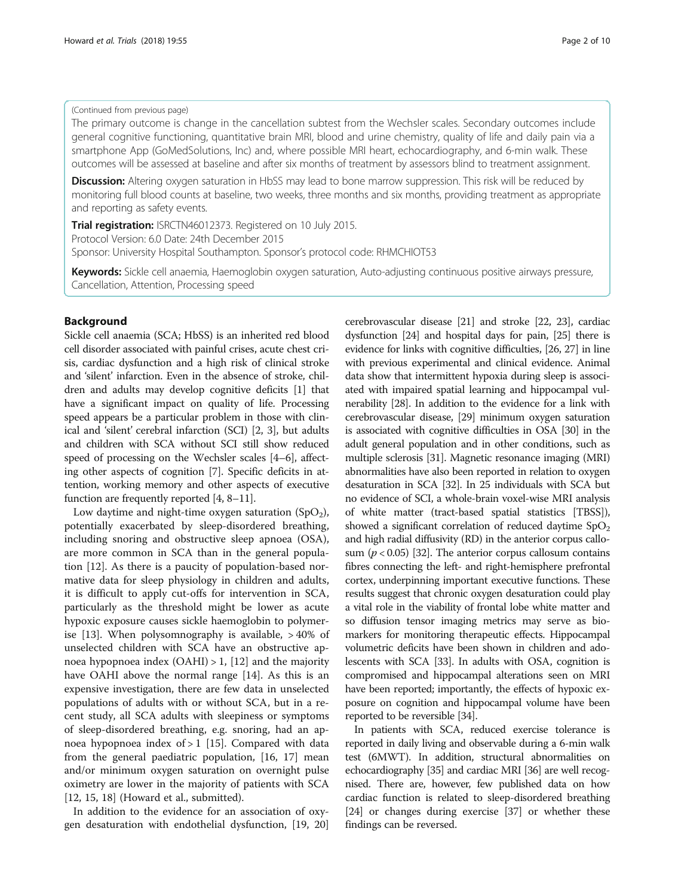# (Continued from previous page)

The primary outcome is change in the cancellation subtest from the Wechsler scales. Secondary outcomes include general cognitive functioning, quantitative brain MRI, blood and urine chemistry, quality of life and daily pain via a smartphone App (GoMedSolutions, Inc) and, where possible MRI heart, echocardiography, and 6-min walk. These outcomes will be assessed at baseline and after six months of treatment by assessors blind to treatment assignment.

**Discussion:** Altering oxygen saturation in HbSS may lead to bone marrow suppression. This risk will be reduced by monitoring full blood counts at baseline, two weeks, three months and six months, providing treatment as appropriate and reporting as safety events.

**Trial registration:** [ISRCTN46012373.](https://www.isrctn.com/) Registered on 10 July 2015.

Protocol Version: 6.0 Date: 24th December 2015

Sponsor: University Hospital Southampton. Sponsor's protocol code: RHMCHIOT53

Keywords: Sickle cell anaemia, Haemoglobin oxygen saturation, Auto-adjusting continuous positive airways pressure, Cancellation, Attention, Processing speed

# **Background**

Sickle cell anaemia (SCA; HbSS) is an inherited red blood cell disorder associated with painful crises, acute chest crisis, cardiac dysfunction and a high risk of clinical stroke and 'silent' infarction. Even in the absence of stroke, children and adults may develop cognitive deficits [\[1\]](#page-8-0) that have a significant impact on quality of life. Processing speed appears be a particular problem in those with clinical and 'silent' cerebral infarction (SCI) [\[2](#page-8-0), [3\]](#page-8-0), but adults and children with SCA without SCI still show reduced speed of processing on the Wechsler scales [\[4](#page-8-0)–[6\]](#page-8-0), affecting other aspects of cognition [\[7](#page-8-0)]. Specific deficits in attention, working memory and other aspects of executive function are frequently reported [[4, 8](#page-8-0)–[11\]](#page-8-0).

Low daytime and night-time oxygen saturation  $(SpO<sub>2</sub>)$ , potentially exacerbated by sleep-disordered breathing, including snoring and obstructive sleep apnoea (OSA), are more common in SCA than in the general population [[12](#page-8-0)]. As there is a paucity of population-based normative data for sleep physiology in children and adults, it is difficult to apply cut-offs for intervention in SCA, particularly as the threshold might be lower as acute hypoxic exposure causes sickle haemoglobin to polymer-ise [\[13\]](#page-8-0). When polysomnography is available,  $>40\%$  of unselected children with SCA have an obstructive apnoea hypopnoea index  $(OAHI) > 1$ , [\[12](#page-8-0)] and the majority have OAHI above the normal range [\[14\]](#page-8-0). As this is an expensive investigation, there are few data in unselected populations of adults with or without SCA, but in a recent study, all SCA adults with sleepiness or symptoms of sleep-disordered breathing, e.g. snoring, had an apnoea hypopnoea index of  $> 1$  [[15\]](#page-8-0). Compared with data from the general paediatric population, [\[16](#page-9-0), [17\]](#page-9-0) mean and/or minimum oxygen saturation on overnight pulse oximetry are lower in the majority of patients with SCA [[12, 15,](#page-8-0) [18](#page-9-0)] (Howard et al., submitted).

In addition to the evidence for an association of oxygen desaturation with endothelial dysfunction, [[19, 20](#page-9-0)] cerebrovascular disease [\[21\]](#page-9-0) and stroke [\[22](#page-9-0), [23\]](#page-9-0), cardiac dysfunction [\[24](#page-9-0)] and hospital days for pain, [\[25\]](#page-9-0) there is evidence for links with cognitive difficulties, [\[26](#page-9-0), [27\]](#page-9-0) in line with previous experimental and clinical evidence. Animal data show that intermittent hypoxia during sleep is associated with impaired spatial learning and hippocampal vulnerability [\[28\]](#page-9-0). In addition to the evidence for a link with cerebrovascular disease, [\[29\]](#page-9-0) minimum oxygen saturation is associated with cognitive difficulties in OSA [[30](#page-9-0)] in the adult general population and in other conditions, such as multiple sclerosis [\[31\]](#page-9-0). Magnetic resonance imaging (MRI) abnormalities have also been reported in relation to oxygen desaturation in SCA [\[32\]](#page-9-0). In 25 individuals with SCA but no evidence of SCI, a whole-brain voxel-wise MRI analysis of white matter (tract-based spatial statistics [TBSS]), showed a significant correlation of reduced daytime  $SpO<sub>2</sub>$ and high radial diffusivity (RD) in the anterior corpus callosum ( $p < 0.05$ ) [\[32](#page-9-0)]. The anterior corpus callosum contains fibres connecting the left- and right-hemisphere prefrontal cortex, underpinning important executive functions. These results suggest that chronic oxygen desaturation could play a vital role in the viability of frontal lobe white matter and so diffusion tensor imaging metrics may serve as biomarkers for monitoring therapeutic effects. Hippocampal volumetric deficits have been shown in children and adolescents with SCA [\[33\]](#page-9-0). In adults with OSA, cognition is compromised and hippocampal alterations seen on MRI have been reported; importantly, the effects of hypoxic exposure on cognition and hippocampal volume have been reported to be reversible [[34](#page-9-0)].

In patients with SCA, reduced exercise tolerance is reported in daily living and observable during a 6-min walk test (6MWT). In addition, structural abnormalities on echocardiography [[35](#page-9-0)] and cardiac MRI [[36](#page-9-0)] are well recognised. There are, however, few published data on how cardiac function is related to sleep-disordered breathing [[24](#page-9-0)] or changes during exercise [\[37\]](#page-9-0) or whether these findings can be reversed.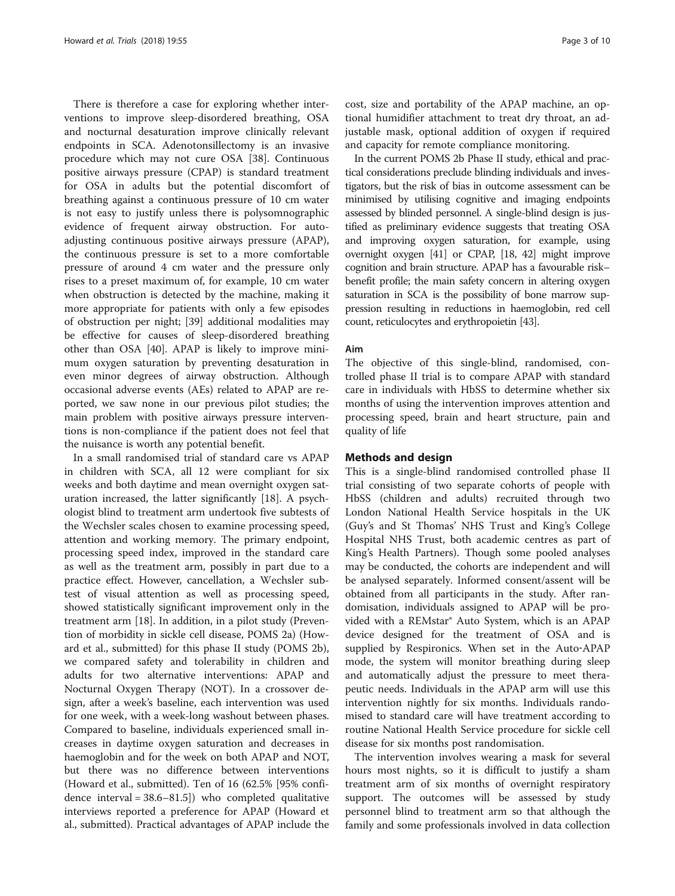There is therefore a case for exploring whether interventions to improve sleep-disordered breathing, OSA and nocturnal desaturation improve clinically relevant endpoints in SCA. Adenotonsillectomy is an invasive procedure which may not cure OSA [[38\]](#page-9-0). Continuous positive airways pressure (CPAP) is standard treatment for OSA in adults but the potential discomfort of breathing against a continuous pressure of 10 cm water is not easy to justify unless there is polysomnographic evidence of frequent airway obstruction. For autoadjusting continuous positive airways pressure (APAP), the continuous pressure is set to a more comfortable pressure of around 4 cm water and the pressure only rises to a preset maximum of, for example, 10 cm water when obstruction is detected by the machine, making it more appropriate for patients with only a few episodes of obstruction per night; [[39](#page-9-0)] additional modalities may be effective for causes of sleep-disordered breathing other than OSA [[40](#page-9-0)]. APAP is likely to improve minimum oxygen saturation by preventing desaturation in even minor degrees of airway obstruction. Although occasional adverse events (AEs) related to APAP are reported, we saw none in our previous pilot studies; the main problem with positive airways pressure interventions is non-compliance if the patient does not feel that the nuisance is worth any potential benefit.

In a small randomised trial of standard care vs APAP in children with SCA, all 12 were compliant for six weeks and both daytime and mean overnight oxygen saturation increased, the latter significantly [[18](#page-9-0)]. A psychologist blind to treatment arm undertook five subtests of the Wechsler scales chosen to examine processing speed, attention and working memory. The primary endpoint, processing speed index, improved in the standard care as well as the treatment arm, possibly in part due to a practice effect. However, cancellation, a Wechsler subtest of visual attention as well as processing speed, showed statistically significant improvement only in the treatment arm [\[18\]](#page-9-0). In addition, in a pilot study (Prevention of morbidity in sickle cell disease, POMS 2a) (Howard et al., submitted) for this phase II study (POMS 2b), we compared safety and tolerability in children and adults for two alternative interventions: APAP and Nocturnal Oxygen Therapy (NOT). In a crossover design, after a week's baseline, each intervention was used for one week, with a week-long washout between phases. Compared to baseline, individuals experienced small increases in daytime oxygen saturation and decreases in haemoglobin and for the week on both APAP and NOT, but there was no difference between interventions (Howard et al., submitted). Ten of 16 (62.5% [95% confidence interval =  $38.6 - 81.5$ ]) who completed qualitative interviews reported a preference for APAP (Howard et al., submitted). Practical advantages of APAP include the

cost, size and portability of the APAP machine, an optional humidifier attachment to treat dry throat, an adjustable mask, optional addition of oxygen if required and capacity for remote compliance monitoring.

In the current POMS 2b Phase II study, ethical and practical considerations preclude blinding individuals and investigators, but the risk of bias in outcome assessment can be minimised by utilising cognitive and imaging endpoints assessed by blinded personnel. A single-blind design is justified as preliminary evidence suggests that treating OSA and improving oxygen saturation, for example, using overnight oxygen [\[41\]](#page-9-0) or CPAP, [[18](#page-9-0), [42](#page-9-0)] might improve cognition and brain structure. APAP has a favourable risk– benefit profile; the main safety concern in altering oxygen saturation in SCA is the possibility of bone marrow suppression resulting in reductions in haemoglobin, red cell count, reticulocytes and erythropoietin [[43](#page-9-0)].

### Aim

The objective of this single-blind, randomised, controlled phase II trial is to compare APAP with standard care in individuals with HbSS to determine whether six months of using the intervention improves attention and processing speed, brain and heart structure, pain and quality of life

# Methods and design

This is a single-blind randomised controlled phase II trial consisting of two separate cohorts of people with HbSS (children and adults) recruited through two London National Health Service hospitals in the UK (Guy's and St Thomas' NHS Trust and King's College Hospital NHS Trust, both academic centres as part of King's Health Partners). Though some pooled analyses may be conducted, the cohorts are independent and will be analysed separately. Informed consent/assent will be obtained from all participants in the study. After randomisation, individuals assigned to APAP will be provided with a REMstar® Auto System, which is an APAP device designed for the treatment of OSA and is supplied by Respironics. When set in the Auto-APAP mode, the system will monitor breathing during sleep and automatically adjust the pressure to meet therapeutic needs. Individuals in the APAP arm will use this intervention nightly for six months. Individuals randomised to standard care will have treatment according to routine National Health Service procedure for sickle cell disease for six months post randomisation.

The intervention involves wearing a mask for several hours most nights, so it is difficult to justify a sham treatment arm of six months of overnight respiratory support. The outcomes will be assessed by study personnel blind to treatment arm so that although the family and some professionals involved in data collection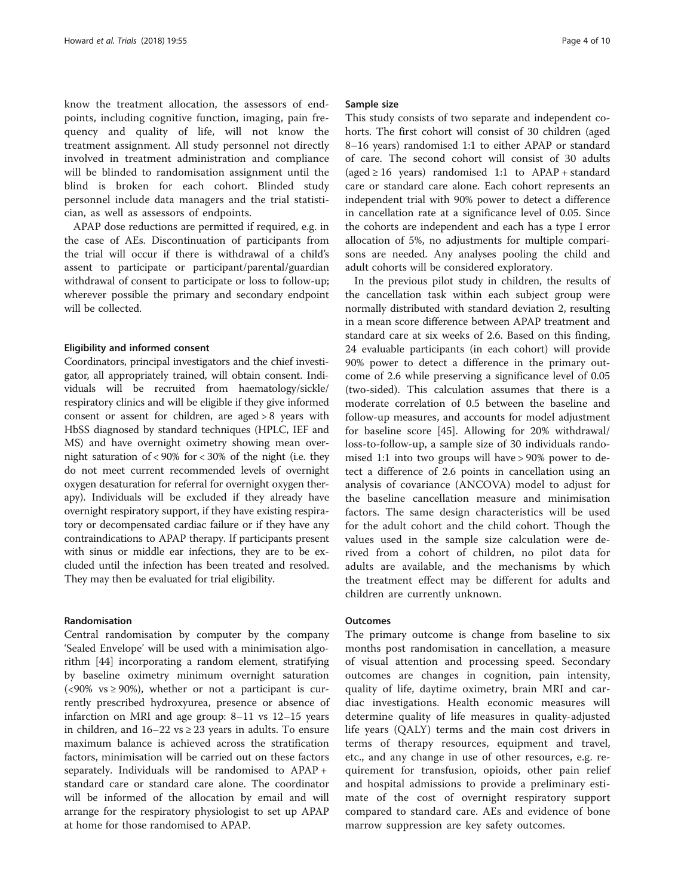know the treatment allocation, the assessors of endpoints, including cognitive function, imaging, pain frequency and quality of life, will not know the treatment assignment. All study personnel not directly involved in treatment administration and compliance will be blinded to randomisation assignment until the blind is broken for each cohort. Blinded study personnel include data managers and the trial statistician, as well as assessors of endpoints.

APAP dose reductions are permitted if required, e.g. in the case of AEs. Discontinuation of participants from the trial will occur if there is withdrawal of a child's assent to participate or participant/parental/guardian withdrawal of consent to participate or loss to follow-up; wherever possible the primary and secondary endpoint will be collected.

# Eligibility and informed consent

Coordinators, principal investigators and the chief investigator, all appropriately trained, will obtain consent. Individuals will be recruited from haematology/sickle/ respiratory clinics and will be eligible if they give informed consent or assent for children, are aged > 8 years with HbSS diagnosed by standard techniques (HPLC, IEF and MS) and have overnight oximetry showing mean overnight saturation of < 90% for < 30% of the night (i.e. they do not meet current recommended levels of overnight oxygen desaturation for referral for overnight oxygen therapy). Individuals will be excluded if they already have overnight respiratory support, if they have existing respiratory or decompensated cardiac failure or if they have any contraindications to APAP therapy. If participants present with sinus or middle ear infections, they are to be excluded until the infection has been treated and resolved. They may then be evaluated for trial eligibility.

# Randomisation

Central randomisation by computer by the company 'Sealed Envelope' will be used with a minimisation algorithm [\[44](#page-9-0)] incorporating a random element, stratifying by baseline oximetry minimum overnight saturation  $\left($  <90% vs  $\geq$  90%), whether or not a participant is currently prescribed hydroxyurea, presence or absence of infarction on MRI and age group: 8–11 vs 12–15 years in children, and  $16-22$  vs  $\geq 23$  years in adults. To ensure maximum balance is achieved across the stratification factors, minimisation will be carried out on these factors separately. Individuals will be randomised to APAP + standard care or standard care alone. The coordinator will be informed of the allocation by email and will arrange for the respiratory physiologist to set up APAP at home for those randomised to APAP.

### Sample size

This study consists of two separate and independent cohorts. The first cohort will consist of 30 children (aged 8–16 years) randomised 1:1 to either APAP or standard of care. The second cohort will consist of 30 adults (aged  $\geq 16$  years) randomised 1:1 to APAP + standard care or standard care alone. Each cohort represents an independent trial with 90% power to detect a difference in cancellation rate at a significance level of 0.05. Since the cohorts are independent and each has a type I error allocation of 5%, no adjustments for multiple comparisons are needed. Any analyses pooling the child and adult cohorts will be considered exploratory.

In the previous pilot study in children, the results of the cancellation task within each subject group were normally distributed with standard deviation 2, resulting in a mean score difference between APAP treatment and standard care at six weeks of 2.6. Based on this finding, 24 evaluable participants (in each cohort) will provide 90% power to detect a difference in the primary outcome of 2.6 while preserving a significance level of 0.05 (two-sided). This calculation assumes that there is a moderate correlation of 0.5 between the baseline and follow-up measures, and accounts for model adjustment for baseline score [\[45\]](#page-9-0). Allowing for 20% withdrawal/ loss-to-follow-up, a sample size of 30 individuals randomised 1:1 into two groups will have > 90% power to detect a difference of 2.6 points in cancellation using an analysis of covariance (ANCOVA) model to adjust for the baseline cancellation measure and minimisation factors. The same design characteristics will be used for the adult cohort and the child cohort. Though the values used in the sample size calculation were derived from a cohort of children, no pilot data for adults are available, and the mechanisms by which the treatment effect may be different for adults and children are currently unknown.

# **Outcomes**

The primary outcome is change from baseline to six months post randomisation in cancellation, a measure of visual attention and processing speed. Secondary outcomes are changes in cognition, pain intensity, quality of life, daytime oximetry, brain MRI and cardiac investigations. Health economic measures will determine quality of life measures in quality-adjusted life years (QALY) terms and the main cost drivers in terms of therapy resources, equipment and travel, etc., and any change in use of other resources, e.g. requirement for transfusion, opioids, other pain relief and hospital admissions to provide a preliminary estimate of the cost of overnight respiratory support compared to standard care. AEs and evidence of bone marrow suppression are key safety outcomes.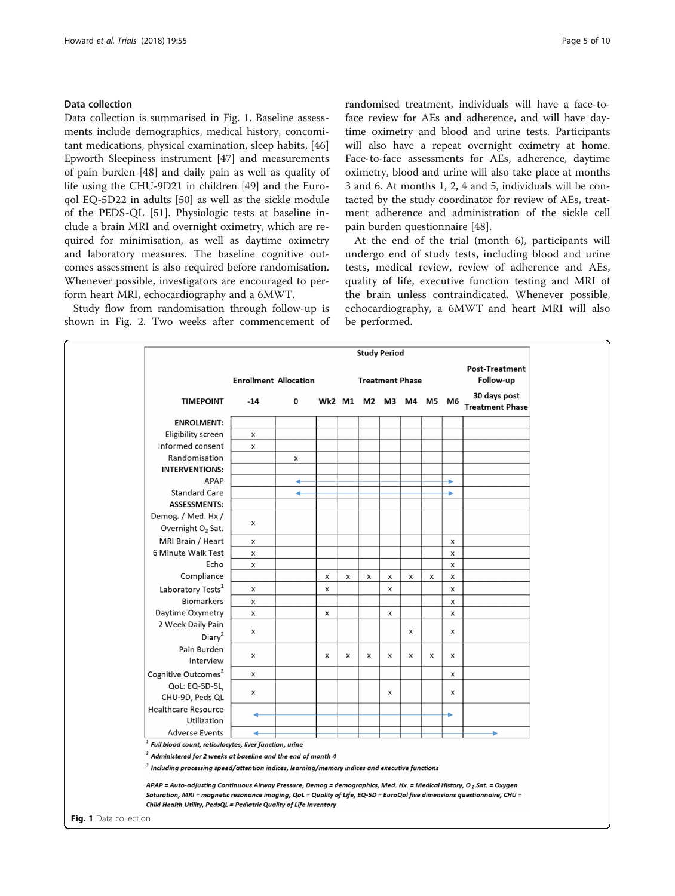# Data collection

Data collection is summarised in Fig. 1. Baseline assessments include demographics, medical history, concomitant medications, physical examination, sleep habits, [[46](#page-9-0)] Epworth Sleepiness instrument [\[47](#page-9-0)] and measurements of pain burden [\[48](#page-9-0)] and daily pain as well as quality of life using the CHU-9D21 in children [\[49\]](#page-9-0) and the Euroqol EQ-5D22 in adults [[50\]](#page-9-0) as well as the sickle module of the PEDS-QL [\[51](#page-9-0)]. Physiologic tests at baseline include a brain MRI and overnight oximetry, which are required for minimisation, as well as daytime oximetry and laboratory measures. The baseline cognitive outcomes assessment is also required before randomisation. Whenever possible, investigators are encouraged to perform heart MRI, echocardiography and a 6MWT.

Study flow from randomisation through follow-up is shown in Fig. [2.](#page-5-0) Two weeks after commencement of

randomised treatment, individuals will have a face-toface review for AEs and adherence, and will have daytime oximetry and blood and urine tests. Participants will also have a repeat overnight oximetry at home. Face-to-face assessments for AEs, adherence, daytime oximetry, blood and urine will also take place at months 3 and 6. At months 1, 2, 4 and 5, individuals will be contacted by the study coordinator for review of AEs, treatment adherence and administration of the sickle cell pain burden questionnaire [[48\]](#page-9-0).

At the end of the trial (month 6), participants will undergo end of study tests, including blood and urine tests, medical review, review of adherence and AEs, quality of life, executive function testing and MRI of the brain unless contraindicated. Whenever possible, echocardiography, a 6MWT and heart MRI will also be performed.



**Study Period**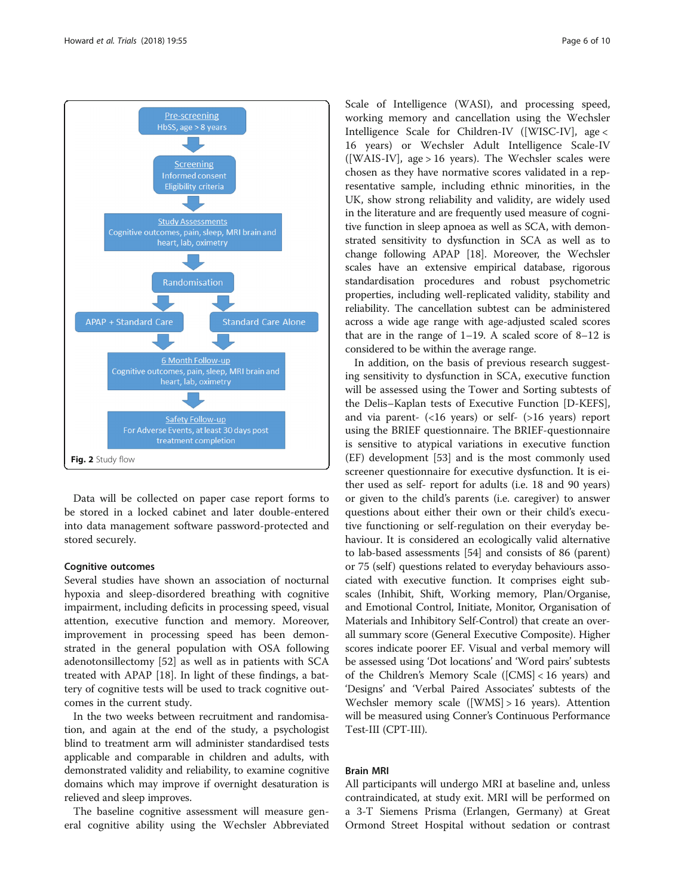<span id="page-5-0"></span>

Data will be collected on paper case report forms to be stored in a locked cabinet and later double-entered into data management software password-protected and stored securely.

# Cognitive outcomes

Several studies have shown an association of nocturnal hypoxia and sleep-disordered breathing with cognitive impairment, including deficits in processing speed, visual attention, executive function and memory. Moreover, improvement in processing speed has been demonstrated in the general population with OSA following adenotonsillectomy [[52\]](#page-9-0) as well as in patients with SCA treated with APAP [[18](#page-9-0)]. In light of these findings, a battery of cognitive tests will be used to track cognitive outcomes in the current study.

In the two weeks between recruitment and randomisation, and again at the end of the study, a psychologist blind to treatment arm will administer standardised tests applicable and comparable in children and adults, with demonstrated validity and reliability, to examine cognitive domains which may improve if overnight desaturation is relieved and sleep improves.

The baseline cognitive assessment will measure general cognitive ability using the Wechsler Abbreviated Scale of Intelligence (WASI), and processing speed, working memory and cancellation using the Wechsler Intelligence Scale for Children-IV ([WISC-IV], age < 16 years) or Wechsler Adult Intelligence Scale-IV ([WAIS-IV], age > 16 years). The Wechsler scales were chosen as they have normative scores validated in a representative sample, including ethnic minorities, in the UK, show strong reliability and validity, are widely used in the literature and are frequently used measure of cognitive function in sleep apnoea as well as SCA, with demonstrated sensitivity to dysfunction in SCA as well as to change following APAP [[18](#page-9-0)]. Moreover, the Wechsler scales have an extensive empirical database, rigorous standardisation procedures and robust psychometric properties, including well-replicated validity, stability and reliability. The cancellation subtest can be administered across a wide age range with age-adjusted scaled scores that are in the range of 1–19. A scaled score of 8–12 is considered to be within the average range.

In addition, on the basis of previous research suggesting sensitivity to dysfunction in SCA, executive function will be assessed using the Tower and Sorting subtests of the Delis–Kaplan tests of Executive Function [D-KEFS], and via parent- (<16 years) or self- (>16 years) report using the BRIEF questionnaire. The BRIEF-questionnaire is sensitive to atypical variations in executive function (EF) development [\[53](#page-9-0)] and is the most commonly used screener questionnaire for executive dysfunction. It is either used as self- report for adults (i.e. 18 and 90 years) or given to the child's parents (i.e. caregiver) to answer questions about either their own or their child's executive functioning or self-regulation on their everyday behaviour. It is considered an ecologically valid alternative to lab-based assessments [\[54](#page-9-0)] and consists of 86 (parent) or 75 (self) questions related to everyday behaviours associated with executive function. It comprises eight subscales (Inhibit, Shift, Working memory, Plan/Organise, and Emotional Control, Initiate, Monitor, Organisation of Materials and Inhibitory Self-Control) that create an overall summary score (General Executive Composite). Higher scores indicate poorer EF. Visual and verbal memory will be assessed using 'Dot locations' and 'Word pairs' subtests of the Children's Memory Scale ([CMS] < 16 years) and 'Designs' and 'Verbal Paired Associates' subtests of the Wechsler memory scale ([WMS] > 16 years). Attention will be measured using Conner's Continuous Performance Test-III (CPT-III).

# Brain MRI

All participants will undergo MRI at baseline and, unless contraindicated, at study exit. MRI will be performed on a 3-T Siemens Prisma (Erlangen, Germany) at Great Ormond Street Hospital without sedation or contrast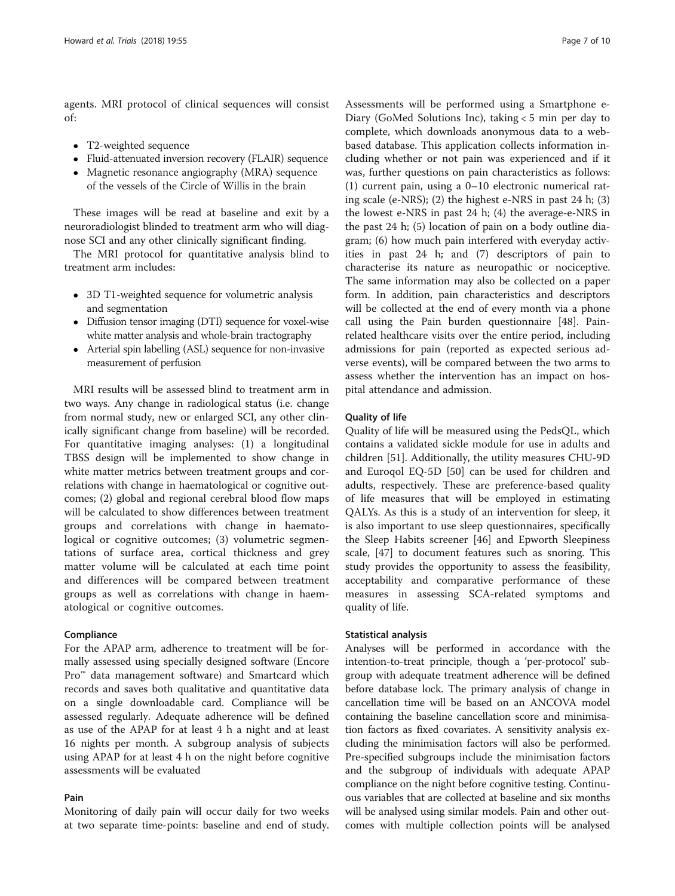agents. MRI protocol of clinical sequences will consist of:

- T2-weighted sequence
- Fluid‐attenuated inversion recovery (FLAIR) sequence
- Magnetic resonance angiography (MRA) sequence of the vessels of the Circle of Willis in the brain

These images will be read at baseline and exit by a neuroradiologist blinded to treatment arm who will diagnose SCI and any other clinically significant finding.

The MRI protocol for quantitative analysis blind to treatment arm includes:

- 3D T1-weighted sequence for volumetric analysis and segmentation
- Diffusion tensor imaging (DTI) sequence for voxel-wise white matter analysis and whole-brain tractography
- Arterial spin labelling (ASL) sequence for non-invasive measurement of perfusion

MRI results will be assessed blind to treatment arm in two ways. Any change in radiological status (i.e. change from normal study, new or enlarged SCI, any other clinically significant change from baseline) will be recorded. For quantitative imaging analyses: (1) a longitudinal TBSS design will be implemented to show change in white matter metrics between treatment groups and correlations with change in haematological or cognitive outcomes; (2) global and regional cerebral blood flow maps will be calculated to show differences between treatment groups and correlations with change in haematological or cognitive outcomes; (3) volumetric segmentations of surface area, cortical thickness and grey matter volume will be calculated at each time point and differences will be compared between treatment groups as well as correlations with change in haematological or cognitive outcomes.

# Compliance

For the APAP arm, adherence to treatment will be formally assessed using specially designed software (Encore Pro™ data management software) and Smartcard which records and saves both qualitative and quantitative data on a single downloadable card. Compliance will be assessed regularly. Adequate adherence will be defined as use of the APAP for at least 4 h a night and at least 16 nights per month. A subgroup analysis of subjects using APAP for at least 4 h on the night before cognitive assessments will be evaluated

# Pain

Monitoring of daily pain will occur daily for two weeks at two separate time-points: baseline and end of study.

Assessments will be performed using a Smartphone e-Diary (GoMed Solutions Inc), taking < 5 min per day to complete, which downloads anonymous data to a webbased database. This application collects information including whether or not pain was experienced and if it was, further questions on pain characteristics as follows: (1) current pain, using a 0–10 electronic numerical rating scale (e-NRS); (2) the highest e-NRS in past 24 h; (3) the lowest e-NRS in past 24 h; (4) the average-e-NRS in the past 24 h; (5) location of pain on a body outline diagram; (6) how much pain interfered with everyday activities in past 24 h; and (7) descriptors of pain to characterise its nature as neuropathic or nociceptive. The same information may also be collected on a paper form. In addition, pain characteristics and descriptors will be collected at the end of every month via a phone call using the Pain burden questionnaire [[48\]](#page-9-0). Painrelated healthcare visits over the entire period, including admissions for pain (reported as expected serious adverse events), will be compared between the two arms to assess whether the intervention has an impact on hospital attendance and admission.

# Quality of life

Quality of life will be measured using the PedsQL, which contains a validated sickle module for use in adults and children [\[51](#page-9-0)]. Additionally, the utility measures CHU-9D and Euroqol EQ-5D [\[50](#page-9-0)] can be used for children and adults, respectively. These are preference-based quality of life measures that will be employed in estimating QALYs. As this is a study of an intervention for sleep, it is also important to use sleep questionnaires, specifically the Sleep Habits screener [[46\]](#page-9-0) and Epworth Sleepiness scale, [\[47\]](#page-9-0) to document features such as snoring. This study provides the opportunity to assess the feasibility, acceptability and comparative performance of these measures in assessing SCA-related symptoms and quality of life.

# Statistical analysis

Analyses will be performed in accordance with the intention-to-treat principle, though a 'per-protocol' subgroup with adequate treatment adherence will be defined before database lock. The primary analysis of change in cancellation time will be based on an ANCOVA model containing the baseline cancellation score and minimisation factors as fixed covariates. A sensitivity analysis excluding the minimisation factors will also be performed. Pre-specified subgroups include the minimisation factors and the subgroup of individuals with adequate APAP compliance on the night before cognitive testing. Continuous variables that are collected at baseline and six months will be analysed using similar models. Pain and other outcomes with multiple collection points will be analysed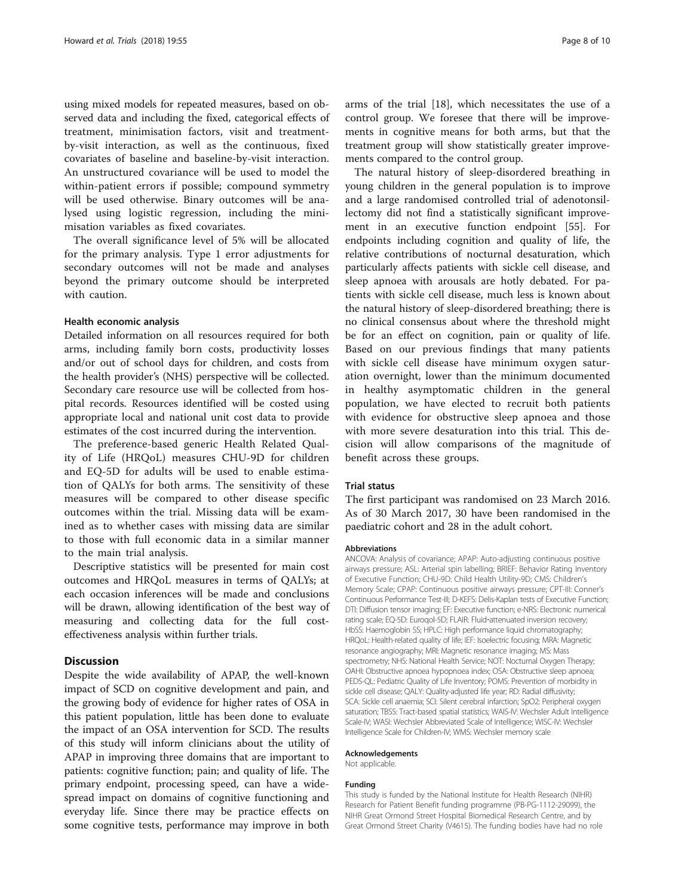using mixed models for repeated measures, based on observed data and including the fixed, categorical effects of treatment, minimisation factors, visit and treatmentby-visit interaction, as well as the continuous, fixed covariates of baseline and baseline-by-visit interaction. An unstructured covariance will be used to model the within-patient errors if possible; compound symmetry will be used otherwise. Binary outcomes will be analysed using logistic regression, including the minimisation variables as fixed covariates.

The overall significance level of 5% will be allocated for the primary analysis. Type 1 error adjustments for secondary outcomes will not be made and analyses beyond the primary outcome should be interpreted with caution.

# Health economic analysis

Detailed information on all resources required for both arms, including family born costs, productivity losses and/or out of school days for children, and costs from the health provider's (NHS) perspective will be collected. Secondary care resource use will be collected from hospital records. Resources identified will be costed using appropriate local and national unit cost data to provide estimates of the cost incurred during the intervention.

The preference-based generic Health Related Quality of Life (HRQoL) measures CHU-9D for children and EQ-5D for adults will be used to enable estimation of QALYs for both arms. The sensitivity of these measures will be compared to other disease specific outcomes within the trial. Missing data will be examined as to whether cases with missing data are similar to those with full economic data in a similar manner to the main trial analysis.

Descriptive statistics will be presented for main cost outcomes and HRQoL measures in terms of QALYs; at each occasion inferences will be made and conclusions will be drawn, allowing identification of the best way of measuring and collecting data for the full costeffectiveness analysis within further trials.

# **Discussion**

Despite the wide availability of APAP, the well-known impact of SCD on cognitive development and pain, and the growing body of evidence for higher rates of OSA in this patient population, little has been done to evaluate the impact of an OSA intervention for SCD. The results of this study will inform clinicians about the utility of APAP in improving three domains that are important to patients: cognitive function; pain; and quality of life. The primary endpoint, processing speed, can have a widespread impact on domains of cognitive functioning and everyday life. Since there may be practice effects on some cognitive tests, performance may improve in both arms of the trial [\[18\]](#page-9-0), which necessitates the use of a control group. We foresee that there will be improvements in cognitive means for both arms, but that the treatment group will show statistically greater improvements compared to the control group.

The natural history of sleep-disordered breathing in young children in the general population is to improve and a large randomised controlled trial of adenotonsillectomy did not find a statistically significant improvement in an executive function endpoint [[55\]](#page-9-0). For endpoints including cognition and quality of life, the relative contributions of nocturnal desaturation, which particularly affects patients with sickle cell disease, and sleep apnoea with arousals are hotly debated. For patients with sickle cell disease, much less is known about the natural history of sleep-disordered breathing; there is no clinical consensus about where the threshold might be for an effect on cognition, pain or quality of life. Based on our previous findings that many patients with sickle cell disease have minimum oxygen saturation overnight, lower than the minimum documented in healthy asymptomatic children in the general population, we have elected to recruit both patients with evidence for obstructive sleep apnoea and those with more severe desaturation into this trial. This decision will allow comparisons of the magnitude of benefit across these groups.

# Trial status

The first participant was randomised on 23 March 2016. As of 30 March 2017, 30 have been randomised in the paediatric cohort and 28 in the adult cohort.

#### Abbreviations

ANCOVA: Analysis of covariance; APAP: Auto-adjusting continuous positive airways pressure; ASL: Arterial spin labelling; BRIEF: Behavior Rating Inventory of Executive Function; CHU-9D: Child Health Utility-9D; CMS: Children's Memory Scale; CPAP: Continuous positive airways pressure; CPT-III: Conner's Continuous Performance Test-III; D-KEFS: Delis-Kaplan tests of Executive Function; DTI: Diffusion tensor imaging; EF: Executive function; e-NRS: Electronic numerical rating scale; EQ-5D: Euroqol-5D; FLAIR: Fluid‐attenuated inversion recovery; HbSS: Haemoglobin SS; HPLC: High performance liquid chromatography; HRQoL: Health-related quality of life; IEF: Isoelectric focusing; MRA: Magnetic resonance angiography; MRI: Magnetic resonance imaging; MS: Mass spectrometry; NHS: National Health Service; NOT: Nocturnal Oxygen Therapy; OAHI: Obstructive apnoea hypopnoea index; OSA: Obstructive sleep apnoea; PEDS-QL: Pediatric Quality of Life Inventory; POMS: Prevention of morbidity in sickle cell disease; QALY: Quality-adjusted life year; RD: Radial diffusivity; SCA: Sickle cell anaemia; SCI: Silent cerebral infarction; SpO2: Peripheral oxygen saturation; TBSS: Tract-based spatial statistics; WAIS-IV: Wechsler Adult Intelligence Scale-IV; WASI: Wechsler Abbreviated Scale of Intelligence; WISC-IV: Wechsler Intelligence Scale for Children-IV; WMS: Wechsler memory scale

#### Acknowledgements

Not applicable.

#### Funding

This study is funded by the National Institute for Health Research (NIHR) Research for Patient Benefit funding programme (PB-PG-1112-29099), the NIHR Great Ormond Street Hospital Biomedical Research Centre, and by Great Ormond Street Charity (V4615). The funding bodies have had no role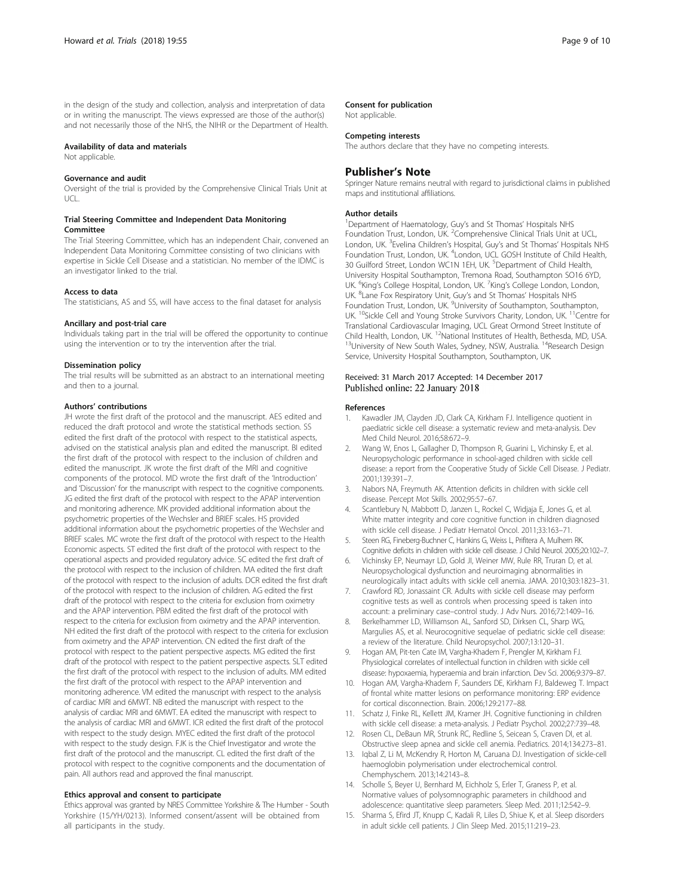<span id="page-8-0"></span>in the design of the study and collection, analysis and interpretation of data or in writing the manuscript. The views expressed are those of the author(s) and not necessarily those of the NHS, the NIHR or the Department of Health.

# Availability of data and materials

Not applicable.

#### Governance and audit

Oversight of the trial is provided by the Comprehensive Clinical Trials Unit at UCL.

#### Trial Steering Committee and Independent Data Monitoring Committee

The Trial Steering Committee, which has an independent Chair, convened an Independent Data Monitoring Committee consisting of two clinicians with expertise in Sickle Cell Disease and a statistician. No member of the IDMC is an investigator linked to the trial.

#### Access to data

The statisticians, AS and SS, will have access to the final dataset for analysis

#### Ancillary and post-trial care

Individuals taking part in the trial will be offered the opportunity to continue using the intervention or to try the intervention after the trial.

#### Dissemination policy

The trial results will be submitted as an abstract to an international meeting and then to a journal.

### Authors' contributions

JH wrote the first draft of the protocol and the manuscript. AES edited and reduced the draft protocol and wrote the statistical methods section. SS edited the first draft of the protocol with respect to the statistical aspects, advised on the statistical analysis plan and edited the manuscript. BI edited the first draft of the protocol with respect to the inclusion of children and edited the manuscript. JK wrote the first draft of the MRI and cognitive components of the protocol. MD wrote the first draft of the 'Introduction' and 'Discussion' for the manuscript with respect to the cognitive components. JG edited the first draft of the protocol with respect to the APAP intervention and monitoring adherence. MK provided additional information about the psychometric properties of the Wechsler and BRIEF scales. HS provided additional information about the psychometric properties of the Wechsler and BRIEF scales. MC wrote the first draft of the protocol with respect to the Health Economic aspects. ST edited the first draft of the protocol with respect to the operational aspects and provided regulatory advice. SC edited the first draft of the protocol with respect to the inclusion of children. MA edited the first draft of the protocol with respect to the inclusion of adults. DCR edited the first draft of the protocol with respect to the inclusion of children. AG edited the first draft of the protocol with respect to the criteria for exclusion from oximetry and the APAP intervention. PBM edited the first draft of the protocol with respect to the criteria for exclusion from oximetry and the APAP intervention. NH edited the first draft of the protocol with respect to the criteria for exclusion from oximetry and the APAP intervention. CN edited the first draft of the protocol with respect to the patient perspective aspects. MG edited the first draft of the protocol with respect to the patient perspective aspects. SLT edited the first draft of the protocol with respect to the inclusion of adults. MM edited the first draft of the protocol with respect to the APAP intervention and monitoring adherence. VM edited the manuscript with respect to the analysis of cardiac MRI and 6MWT. NB edited the manuscript with respect to the analysis of cardiac MRI and 6MWT. EA edited the manuscript with respect to the analysis of cardiac MRI and 6MWT. ICR edited the first draft of the protocol with respect to the study design. MYEC edited the first draft of the protocol with respect to the study design. FJK is the Chief Investigator and wrote the first draft of the protocol and the manuscript. CL edited the first draft of the protocol with respect to the cognitive components and the documentation of pain. All authors read and approved the final manuscript.

# Ethics approval and consent to participate

Ethics approval was granted by NRES Committee Yorkshire & The Humber - South Yorkshire (15/YH/0213). Informed consent/assent will be obtained from all participants in the study.

### Consent for publication

Not applicable.

### Competing interests

The authors declare that they have no competing interests.

### Publisher's Note

Springer Nature remains neutral with regard to jurisdictional claims in published maps and institutional affiliations.

#### Author details

<sup>1</sup>Department of Haematology, Guy's and St Thomas' Hospitals NHS Foundation Trust, London, UK. <sup>2</sup>Comprehensive Clinical Trials Unit at UCL London, UK. <sup>3</sup> Evelina Children's Hospital, Guy's and St Thomas' Hospitals NHS Foundation Trust, London, UK. <sup>4</sup>London, UCL GOSH Institute of Child Health 30 Guilford Street, London WC1N 1EH, UK. <sup>5</sup>Department of Child Health, University Hospital Southampton, Tremona Road, Southampton SO16 6YD, UK. <sup>6</sup>King's College Hospital, London, UK. <sup>7</sup>King's College London, London UK. <sup>8</sup> Lane Fox Respiratory Unit, Guy's and St Thomas' Hospitals NHS Foundation Trust, London, UK. <sup>9</sup>University of Southampton, Southampton, UK. <sup>10</sup>Sickle Cell and Young Stroke Survivors Charity, London, UK. <sup>11</sup>Centre for Translational Cardiovascular Imaging, UCL Great Ormond Street Institute of Child Health, London, UK. <sup>12</sup>National Institutes of Health, Bethesda, MD, USA.<br><sup>13</sup>University of New South Wales, Sydney, NSW, Australia. <sup>14</sup>Research Design Service, University Hospital Southampton, Southampton, UK.

# Received: 31 March 2017 Accepted: 14 December 2017 Published online: 22 January 2018

#### References

- Kawadler JM, Clayden JD, Clark CA, Kirkham FJ. Intelligence quotient in paediatric sickle cell disease: a systematic review and meta-analysis. Dev Med Child Neurol. 2016;58:672–9.
- 2. Wang W, Enos L, Gallagher D, Thompson R, Guarini L, Vichinsky E, et al. Neuropsychologic performance in school-aged children with sickle cell disease: a report from the Cooperative Study of Sickle Cell Disease. J Pediatr. 2001;139:391–7.
- 3. Nabors NA, Freymuth AK. Attention deficits in children with sickle cell disease. Percept Mot Skills. 2002;95:57–67.
- 4. Scantlebury N, Mabbott D, Janzen L, Rockel C, Widjaja E, Jones G, et al. White matter integrity and core cognitive function in children diagnosed with sickle cell disease. J Pediatr Hematol Oncol. 2011;33:163–71.
- 5. Steen RG, Fineberg-Buchner C, Hankins G, Weiss L, Prifitera A, Mulhern RK. Cognitive deficits in children with sickle cell disease. J Child Neurol. 2005;20:102–7.
- Vichinsky EP, Neumayr LD, Gold JI, Weiner MW, Rule RR, Truran D, et al. Neuropsychological dysfunction and neuroimaging abnormalities in neurologically intact adults with sickle cell anemia. JAMA. 2010;303:1823–31.
- 7. Crawford RD, Jonassaint CR. Adults with sickle cell disease may perform cognitive tests as well as controls when processing speed is taken into account: a preliminary case–control study. J Adv Nurs. 2016;72:1409–16.
- 8. Berkelhammer LD, Williamson AL, Sanford SD, Dirksen CL, Sharp WG, Margulies AS, et al. Neurocognitive sequelae of pediatric sickle cell disease: a review of the literature. Child Neuropsychol. 2007;13:120–31.
- 9. Hogan AM, Pit-ten Cate IM, Vargha-Khadem F, Prengler M, Kirkham FJ. Physiological correlates of intellectual function in children with sickle cell disease: hypoxaemia, hyperaemia and brain infarction. Dev Sci. 2006;9:379–87.
- 10. Hogan AM, Vargha-Khadem F, Saunders DE, Kirkham FJ, Baldeweg T. Impact of frontal white matter lesions on performance monitoring: ERP evidence for cortical disconnection. Brain. 2006;129:2177–88.
- 11. Schatz J, Finke RL, Kellett JM, Kramer JH. Cognitive functioning in children with sickle cell disease: a meta-analysis. J Pediatr Psychol. 2002;27:739–48.
- 12. Rosen CL, DeBaun MR, Strunk RC, Redline S, Seicean S, Craven DI, et al. Obstructive sleep apnea and sickle cell anemia. Pediatrics. 2014;134:273–81.
- 13. Iqbal Z, Li M, McKendry R, Horton M, Caruana DJ. Investigation of sickle-cell haemoglobin polymerisation under electrochemical control. Chemphyschem. 2013;14:2143–8.
- 14. Scholle S, Beyer U, Bernhard M, Eichholz S, Erler T, Graness P, et al. Normative values of polysomnographic parameters in childhood and adolescence: quantitative sleep parameters. Sleep Med. 2011;12:542–9.
- 15. Sharma S, Efird JT, Knupp C, Kadali R, Liles D, Shiue K, et al. Sleep disorders in adult sickle cell patients. J Clin Sleep Med. 2015;11:219–23.